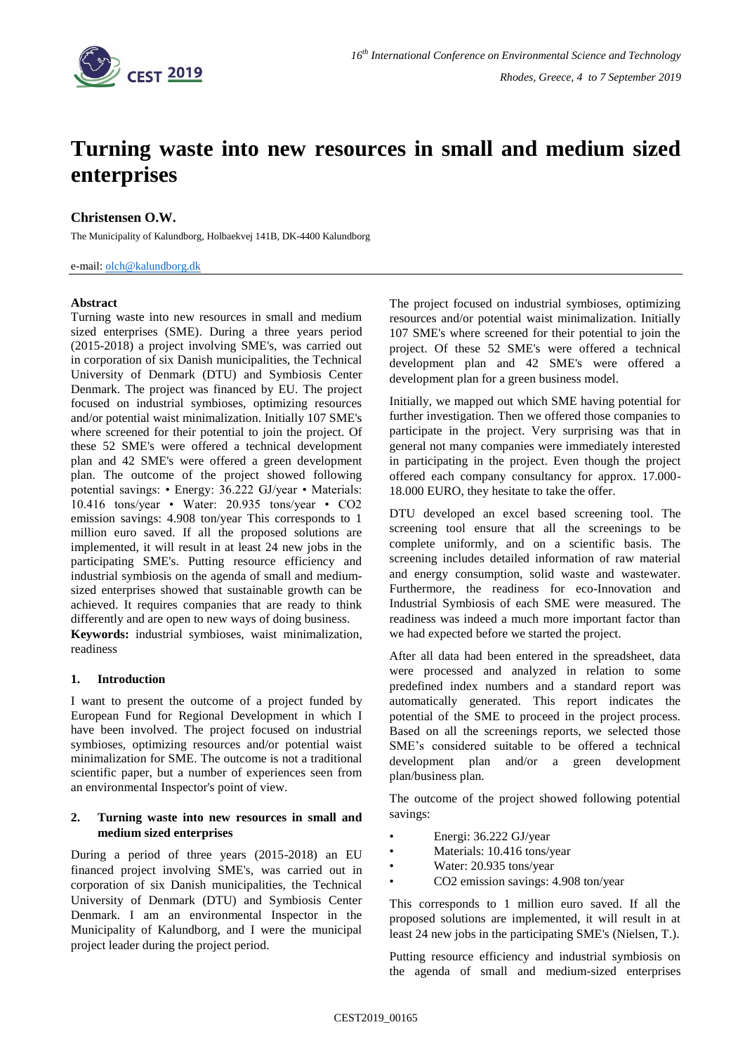

# **Turning waste into new resources in small and medium sized enterprises**

## **Christensen O.W.**

The Municipality of Kalundborg, Holbaekvej 141B, DK-4400 Kalundborg

e-mail: [olch@kalundborg.dk](mailto:olch@kalundborg.dk)

## **Abstract**

Turning waste into new resources in small and medium sized enterprises (SME). During a three years period (2015-2018) a project involving SME's, was carried out in corporation of six Danish municipalities, the Technical University of Denmark (DTU) and Symbiosis Center Denmark. The project was financed by EU. The project focused on industrial symbioses, optimizing resources and/or potential waist minimalization. Initially 107 SME's where screened for their potential to join the project. Of these 52 SME's were offered a technical development plan and 42 SME's were offered a green development plan. The outcome of the project showed following potential savings: • Energy: 36.222 GJ/year • Materials: 10.416 tons/year • Water: 20.935 tons/year • CO2 emission savings: 4.908 ton/year This corresponds to 1 million euro saved. If all the proposed solutions are implemented, it will result in at least 24 new jobs in the participating SME's. Putting resource efficiency and industrial symbiosis on the agenda of small and mediumsized enterprises showed that sustainable growth can be achieved. It requires companies that are ready to think differently and are open to new ways of doing business.

**Keywords:** industrial symbioses, waist minimalization, readiness

## **1. Introduction**

I want to present the outcome of a project funded by European Fund for Regional Development in which I have been involved. The project focused on industrial symbioses, optimizing resources and/or potential waist minimalization for SME. The outcome is not a traditional scientific paper, but a number of experiences seen from an environmental Inspector's point of view.

## **2. Turning waste into new resources in small and medium sized enterprises**

During a period of three years (2015-2018) an EU financed project involving SME's, was carried out in corporation of six Danish municipalities, the Technical University of Denmark (DTU) and Symbiosis Center Denmark. I am an environmental Inspector in the Municipality of Kalundborg, and I were the municipal project leader during the project period.

The project focused on industrial symbioses, optimizing resources and/or potential waist minimalization. Initially 107 SME's where screened for their potential to join the project. Of these 52 SME's were offered a technical development plan and 42 SME's were offered a development plan for a green business model.

Initially, we mapped out which SME having potential for further investigation. Then we offered those companies to participate in the project. Very surprising was that in general not many companies were immediately interested in participating in the project. Even though the project offered each company consultancy for approx. 17.000- 18.000 EURO, they hesitate to take the offer.

DTU developed an excel based screening tool. The screening tool ensure that all the screenings to be complete uniformly, and on a scientific basis. The screening includes detailed information of raw material and energy consumption, solid waste and wastewater. Furthermore, the readiness for eco-Innovation and Industrial Symbiosis of each SME were measured. The readiness was indeed a much more important factor than we had expected before we started the project.

After all data had been entered in the spreadsheet, data were processed and analyzed in relation to some predefined index numbers and a standard report was automatically generated. This report indicates the potential of the SME to proceed in the project process. Based on all the screenings reports, we selected those SME's considered suitable to be offered a technical development plan and/or a green development plan/business plan.

The outcome of the project showed following potential savings:

- Energi: 36.222 GJ/year
- Materials: 10.416 tons/year
- Water: 20.935 tons/year
- CO2 emission savings: 4.908 ton/year

This corresponds to 1 million euro saved. If all the proposed solutions are implemented, it will result in at least 24 new jobs in the participating SME's (Nielsen, T.).

Putting resource efficiency and industrial symbiosis on the agenda of small and medium-sized enterprises